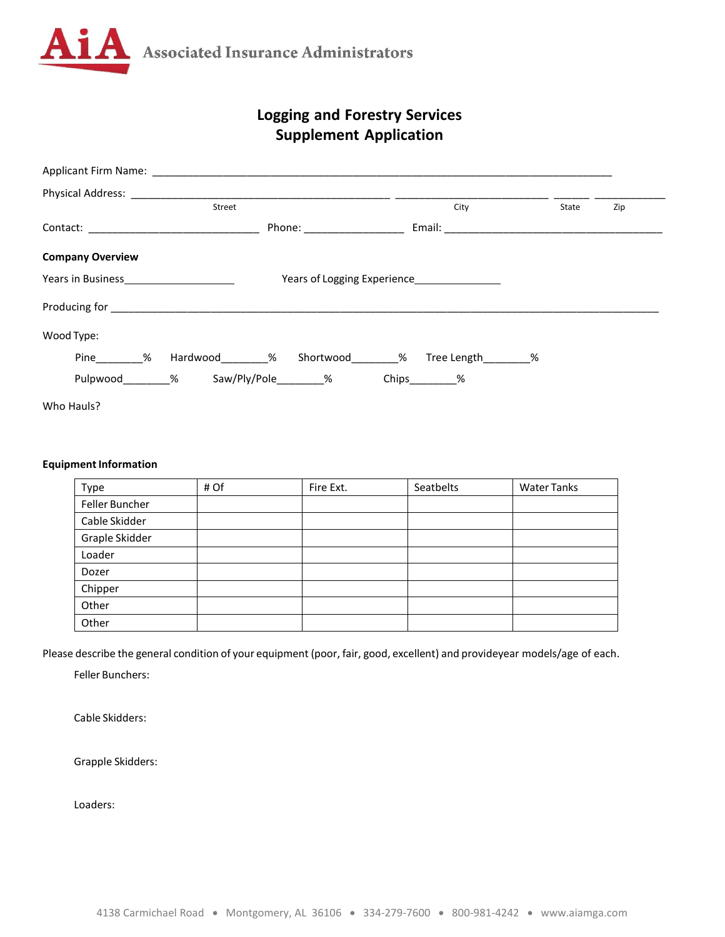

## **Logging and Forestry Services Supplement Application**

| Physical Address: ______________                                                                                                                                                                                              |                          |                           |                                                                                |       |     |
|-------------------------------------------------------------------------------------------------------------------------------------------------------------------------------------------------------------------------------|--------------------------|---------------------------|--------------------------------------------------------------------------------|-------|-----|
|                                                                                                                                                                                                                               | Street                   |                           | City                                                                           | State | Zip |
|                                                                                                                                                                                                                               | Phone: _________________ |                           |                                                                                |       |     |
| <b>Company Overview</b>                                                                                                                                                                                                       |                          |                           |                                                                                |       |     |
| Years in Business New York Control of the Manuscript of the Manuscript of the Manuscript of the Manuscript of the Ma                                                                                                          |                          |                           | Years of Logging Experience__________________                                  |       |     |
| Producing for the contract of the contract of the contract of the contract of the contract of the contract of the contract of the contract of the contract of the contract of the contract of the contract of the contract of |                          |                           |                                                                                |       |     |
| Wood Type:                                                                                                                                                                                                                    |                          |                           |                                                                                |       |     |
|                                                                                                                                                                                                                               |                          |                           | Pine ________% Hardwood _________% Shortwood _________% Tree Length _________% |       |     |
|                                                                                                                                                                                                                               |                          | Pulpwood % Saw/Ply/Pole % | $Chips_$ %                                                                     |       |     |
| Who Hauls?                                                                                                                                                                                                                    |                          |                           |                                                                                |       |     |

## **Equipment Information**

| Type           | # Of | Fire Ext. | Seatbelts | <b>Water Tanks</b> |
|----------------|------|-----------|-----------|--------------------|
| Feller Buncher |      |           |           |                    |
| Cable Skidder  |      |           |           |                    |
| Graple Skidder |      |           |           |                    |
| Loader         |      |           |           |                    |
| Dozer          |      |           |           |                    |
| Chipper        |      |           |           |                    |
| Other          |      |           |           |                    |
| Other          |      |           |           |                    |

Please describe the general condition of your equipment (poor, fair, good, excellent) and provideyear models/age of each.

Feller Bunchers:

Cable Skidders:

Grapple Skidders:

Loaders: